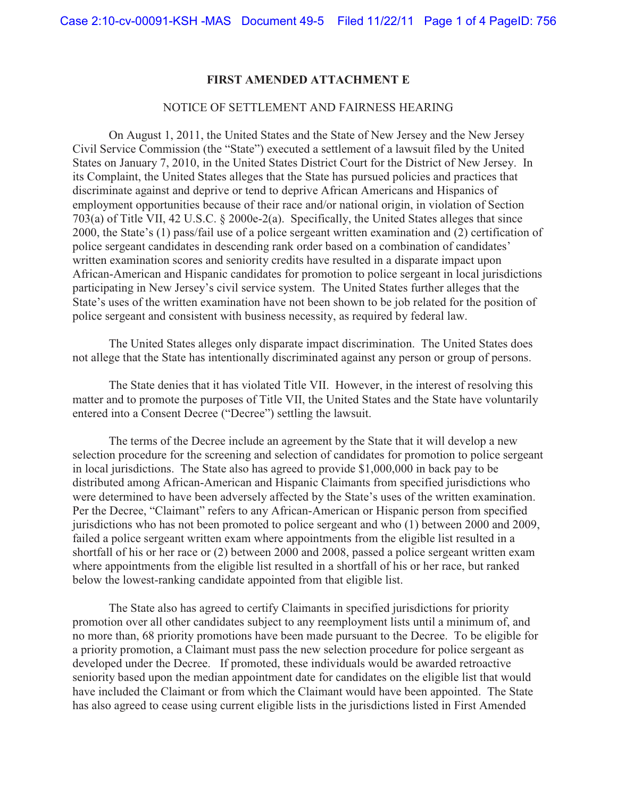#### **FIRST AMENDED ATTACHMENT E**

#### NOTICE OF SETTLEMENT AND FAIRNESS HEARING

 On August 1, 2011, the United States and the State of New Jersey and the New Jersey Civil Service Commission (the "State") executed a settlement of a lawsuit filed by the United States on January 7, 2010, in the United States District Court for the District of New Jersey. In its Complaint, the United States alleges that the State has pursued policies and practices that discriminate against and deprive or tend to deprive African Americans and Hispanics of employment opportunities because of their race and/or national origin, in violation of Section 703(a) of Title VII, 42 U.S.C. § 2000e-2(a). Specifically, the United States alleges that since 2000, the State's (1) pass/fail use of a police sergeant written examination and (2) certification of police sergeant candidates in descending rank order based on a combination of candidates' written examination scores and seniority credits have resulted in a disparate impact upon African-American and Hispanic candidates for promotion to police sergeant in local jurisdictions participating in New Jersey's civil service system. The United States further alleges that the State's uses of the written examination have not been shown to be job related for the position of police sergeant and consistent with business necessity, as required by federal law.

 The United States alleges only disparate impact discrimination. The United States does not allege that the State has intentionally discriminated against any person or group of persons.

 The State denies that it has violated Title VII. However, in the interest of resolving this matter and to promote the purposes of Title VII, the United States and the State have voluntarily entered into a Consent Decree ("Decree") settling the lawsuit.

 The terms of the Decree include an agreement by the State that it will develop a new selection procedure for the screening and selection of candidates for promotion to police sergeant in local jurisdictions. The State also has agreed to provide \$1,000,000 in back pay to be distributed among African-American and Hispanic Claimants from specified jurisdictions who were determined to have been adversely affected by the State's uses of the written examination. Per the Decree, "Claimant" refers to any African-American or Hispanic person from specified jurisdictions who has not been promoted to police sergeant and who (1) between 2000 and 2009, failed a police sergeant written exam where appointments from the eligible list resulted in a shortfall of his or her race or (2) between 2000 and 2008, passed a police sergeant written exam where appointments from the eligible list resulted in a shortfall of his or her race, but ranked below the lowest-ranking candidate appointed from that eligible list.

The State also has agreed to certify Claimants in specified jurisdictions for priority promotion over all other candidates subject to any reemployment lists until a minimum of, and no more than, 68 priority promotions have been made pursuant to the Decree. To be eligible for a priority promotion, a Claimant must pass the new selection procedure for police sergeant as developed under the Decree. If promoted, these individuals would be awarded retroactive seniority based upon the median appointment date for candidates on the eligible list that would have included the Claimant or from which the Claimant would have been appointed. The State has also agreed to cease using current eligible lists in the jurisdictions listed in First Amended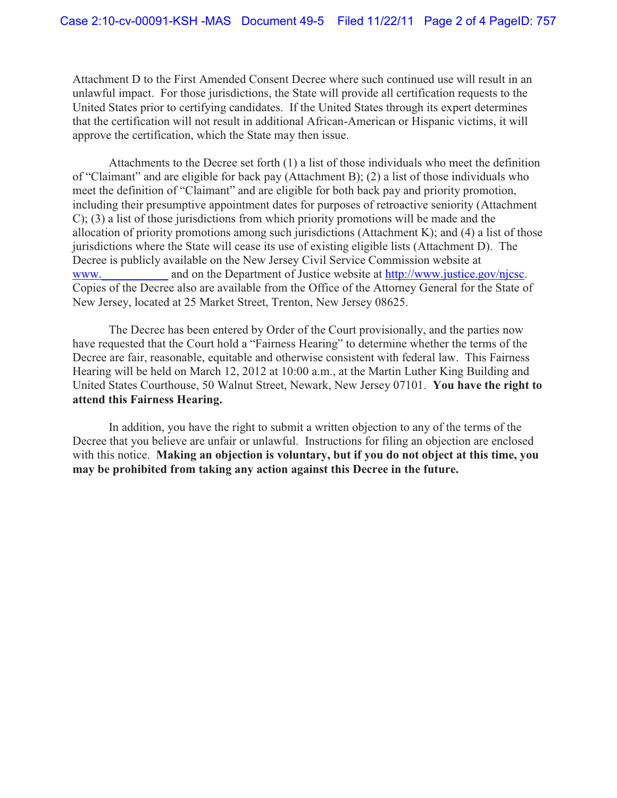Attachment D to the First Amended Consent Decree where such continued use will result in an unlawful impact. For those jurisdictions, the State will provide all certification requests to the United States prior to certifying candidates. If the United States through its expert determines that the certification will not result in additional African-American or Hispanic victims, it will approve the certification, which the State may then issue.

Attachments to the Decree set forth (1) a list of those individuals who meet the definition of "Claimant" and are eligible for back pay (Attachment B); (2) a list of those individuals who meet the definition of "Claimant" and are eligible for both back pay and priority promotion, including their presumptive appointment dates for purposes of retroactive seniority (Attachment C); (3) a list of those jurisdictions from which priority promotions will be made and the allocation of priority promotions among such jurisdictions (Attachment K); and (4) a list of those jurisdictions where the State will cease its use of existing eligible lists (Attachment D). The Decree is publicly available on the New Jersey Civil Service Commission website at www. and on the Department of Justice website at http://www.justice.gov/njcsc. Copies of the Decree also are available from the Office of the Attorney General for the State of New Jersey, located at 25 Market Street, Trenton, New Jersey 08625.

 The Decree has been entered by Order of the Court provisionally, and the parties now have requested that the Court hold a "Fairness Hearing" to determine whether the terms of the Decree are fair, reasonable, equitable and otherwise consistent with federal law. This Fairness Hearing will be held on March 12, 2012 at 10:00 a.m., at the Martin Luther King Building and United States Courthouse, 50 Walnut Street, Newark, New Jersey 07101. **You have the right to attend this Fairness Hearing.**

 In addition, you have the right to submit a written objection to any of the terms of the Decree that you believe are unfair or unlawful. Instructions for filing an objection are enclosed with this notice. **Making an objection is voluntary, but if you do not object at this time, you may be prohibited from taking any action against this Decree in the future.**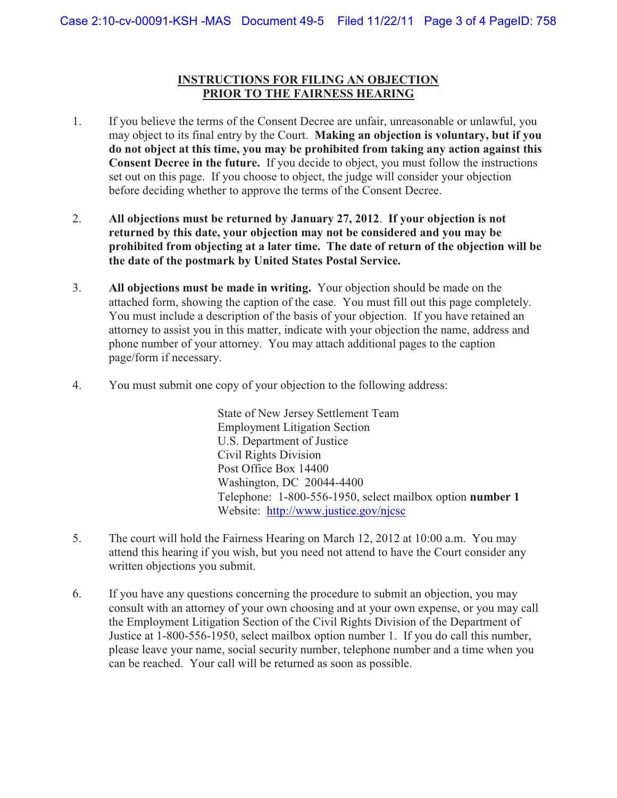## **INSTRUCTIONS FOR FILING AN OBJECTION PRIOR TO THE FAIRNESS HEARING**

- 1. If you believe the terms of the Consent Decree are unfair, unreasonable or unlawful, you may object to its final entry by the Court. **Making an objection is voluntary, but if you do not object at this time, you may be prohibited from taking any action against this Consent Decree in the future.** If you decide to object, you must follow the instructions set out on this page. If you choose to object, the judge will consider your objection before deciding whether to approve the terms of the Consent Decree.
- 2. **All objections must be returned by January 27, 2012**. **If your objection is not returned by this date, your objection may not be considered and you may be prohibited from objecting at a later time. The date of return of the objection will be the date of the postmark by United States Postal Service.**
- 3. **All objections must be made in writing.** Your objection should be made on the attached form, showing the caption of the case. You must fill out this page completely. You must include a description of the basis of your objection. If you have retained an attorney to assist you in this matter, indicate with your objection the name, address and phone number of your attorney. You may attach additional pages to the caption page/form if necessary.
- 4. You must submit one copy of your objection to the following address:

State of New Jersey Settlement Team Employment Litigation Section U.S. Department of Justice Civil Rights Division Post Office Box 14400 Washington, DC 20044-4400 Telephone: 1-800-556-1950, select mailbox option **number 1**  Website: http://www.justice.gov/njcsc

- 5. The court will hold the Fairness Hearing on March 12, 2012 at 10:00 a.m. You may attend this hearing if you wish, but you need not attend to have the Court consider any written objections you submit.
- 6. If you have any questions concerning the procedure to submit an objection, you may consult with an attorney of your own choosing and at your own expense, or you may call the Employment Litigation Section of the Civil Rights Division of the Department of Justice at 1-800-556-1950, select mailbox option number 1. If you do call this number, please leave your name, social security number, telephone number and a time when you can be reached. Your call will be returned as soon as possible.